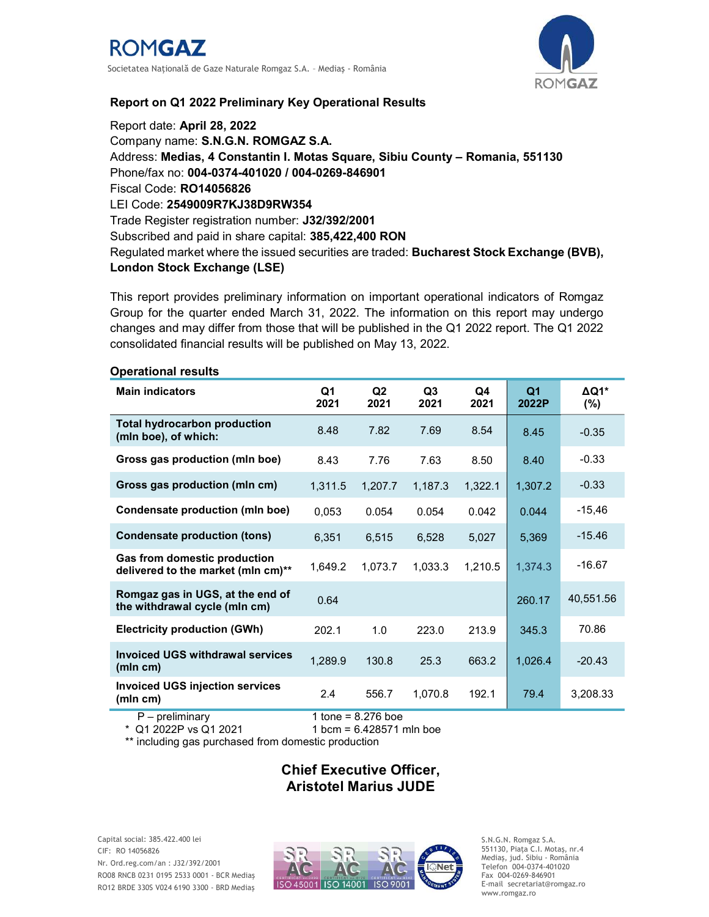

## Report on Q1 2022 Preliminary Key Operational Results

Report date: April 28, 2022 Company name: S.N.G.N. ROMGAZ S.A. Address: Medias, 4 Constantin I. Motas Square, Sibiu County – Romania, 551130 Phone/fax no: 004-0374-401020 / 004-0269-846901 Fiscal Code: RO14056826 LEI Code: 2549009R7KJ38D9RW354 Trade Register registration number: J32/392/2001 Subscribed and paid in share capital: 385,422,400 RON Regulated market where the issued securities are traded: Bucharest Stock Exchange (BVB), London Stock Exchange (LSE)

This report provides preliminary information on important operational indicators of Romgaz Group for the quarter ended March 31, 2022. The information on this report may undergo changes and may differ from those that will be published in the Q1 2022 report. The Q1 2022 consolidated financial results will be published on May 13, 2022.

| Operational results                                                       |                                              |            |            |            |                         |                         |
|---------------------------------------------------------------------------|----------------------------------------------|------------|------------|------------|-------------------------|-------------------------|
| <b>Main indicators</b>                                                    | Q1<br>2021                                   | Q2<br>2021 | Q3<br>2021 | Q4<br>2021 | Q <sub>1</sub><br>2022P | $\Delta Q1*$<br>$(\% )$ |
| <b>Total hydrocarbon production</b><br>(mln boe), of which:               | 8.48                                         | 7.82       | 7.69       | 8.54       | 8.45                    | $-0.35$                 |
| Gross gas production (mln boe)                                            | 8.43                                         | 7.76       | 7.63       | 8.50       | 8.40                    | $-0.33$                 |
| Gross gas production (mln cm)                                             | 1,311.5                                      | 1,207.7    | 1,187.3    | 1,322.1    | 1,307.2                 | $-0.33$                 |
| <b>Condensate production (mln boe)</b>                                    | 0,053                                        | 0.054      | 0.054      | 0.042      | 0.044                   | $-15,46$                |
| <b>Condensate production (tons)</b>                                       | 6,351                                        | 6,515      | 6,528      | 5,027      | 5,369                   | $-15.46$                |
| <b>Gas from domestic production</b><br>delivered to the market (mln cm)** | 1,649.2                                      | 1,073.7    | 1,033.3    | 1,210.5    | 1,374.3                 | $-16.67$                |
| Romgaz gas in UGS, at the end of<br>the withdrawal cycle (mln cm)         | 0.64                                         |            |            |            | 260.17                  | 40,551.56               |
| <b>Electricity production (GWh)</b>                                       | 202.1                                        | 1.0        | 223.0      | 213.9      | 345.3                   | 70.86                   |
| <b>Invoiced UGS withdrawal services</b><br>(mln cm)                       | 1,289.9                                      | 130.8      | 25.3       | 663.2      | 1,026.4                 | $-20.43$                |
| <b>Invoiced UGS injection services</b><br>(mln cm)                        | 2.4                                          | 556.7      | 1,070.8    | 192.1      | 79.4                    | 3,208.33                |
| $\blacksquare$                                                            | $\overline{A}$ $\overline{A}$ $\overline{A}$ | 0.070L     |            |            |                         |                         |

## Operational results

 P – preliminary 1 tone = 8.276 boe  $1$  bcm = 6.428571 mln boe

\*\* including gas purchased from domestic production

# Chief Executive Officer, Aristotel Marius JUDE

Capital social: 385.422.400 lei CIF: RO 14056826 Nr. Ord.reg.com/an : J32/392/2001 RO08 RNCB 0231 0195 2533 0001 - BCR Mediaş RO12 BRDE 330S V024 6190 3300 - BRD Mediaş



S.N.G.N. Romgaz S.A. 551130, Piața C.I. Motaş, nr.4 Mediaş, jud. Sibiu - România Telefon 004-0374-401020 Fax 004-0269-846901 E-mail secretariat@romgaz.ro www.romgaz.ro